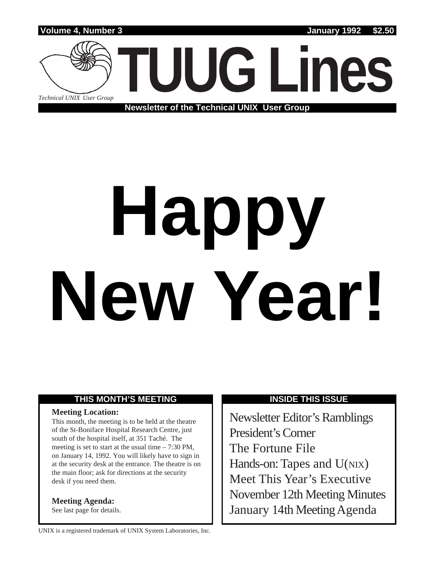

# **Happy New Year!**

## **THIS MONTH'S MEETING**

## **Meeting Location:**

This month, the meeting is to be held at the theatre of the St-Boniface Hospital Research Centre, just south of the hospital itself, at 351 Taché. The meeting is set to start at the usual time – 7:30 PM, on January 14, 1992. You will likely have to sign in at the security desk at the entrance. The theatre is on the main floor; ask for directions at the security desk if you need them.

**Meeting Agenda:**

See last page for details.

## **INSIDE THIS ISSUE**

Newsletter Editor's Ramblings President's Corner The Fortune File Hands-on: Tapes and U(NIX) Meet This Year's Executive November 12th Meeting Minutes January 14th Meeting Agenda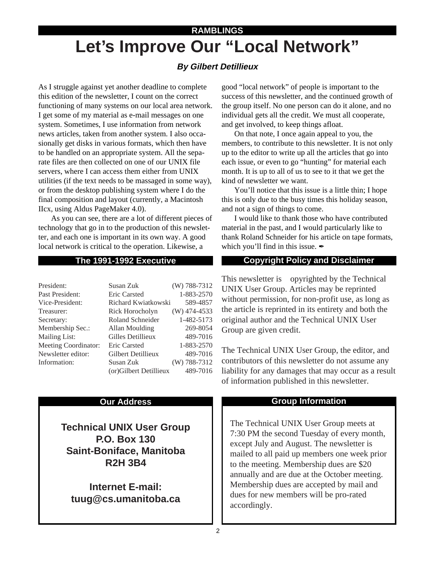# **Let's Improve Our "Local Network" RAMBLINGS**

## **By Gilbert Detillieux**

As I struggle against yet another deadline to complete this edition of the newsletter, I count on the correct functioning of many systems on our local area network. I get some of my material as e-mail messages on one system. Sometimes, I use information from network news articles, taken from another system. I also occasionally get disks in various formats, which then have to be handled on an appropriate system. All the separate files are then collected on one of our UNIX file servers, where I can access them either from UNIX utilities (if the text needs to be massaged in some way), or from the desktop publishing system where I do the final composition and layout (currently, a Macintosh IIcx, using Aldus PageMaker 4.0).

As you can see, there are a lot of different pieces of technology that go in to the production of this newsletter, and each one is important in its own way. A good local network is critical to the operation. Likewise, a

## **The 1991-1992 Executive**

| President:                  | Susan Zuk              | $(W)$ 788-7312 |
|-----------------------------|------------------------|----------------|
| Past President:             | Eric Carsted           | 1-883-2570     |
| Vice-President:             | Richard Kwiatkowski    | 589-4857       |
| Treasurer:                  | Rick Horocholyn        | $(W)$ 474-4533 |
| Secretary:                  | Roland Schneider       | 1-482-5173     |
| Membership Sec.:            | Allan Moulding         | 269-8054       |
| <b>Mailing List:</b>        | Gilles Detillieux      | 489-7016       |
| <b>Meeting Coordinator:</b> | Eric Carsted           | 1-883-2570     |
| Newsletter editor:          | Gilbert Detillieux     | 489-7016       |
| Information:                | Susan Zuk              | $(W)$ 788-7312 |
|                             | (or)Gilbert Detillieux | 489-7016       |

## **Our Address**

**Technical UNIX User Group P.O. Box 130 Saint-Boniface, Manitoba R2H 3B4**

**Internet E-mail: tuug@cs.umanitoba.ca** good "local network" of people is important to the success of this newsletter, and the continued growth of the group itself. No one person can do it alone, and no individual gets all the credit. We must all cooperate, and get involved, to keep things afloat.

On that note, I once again appeal to you, the members, to contribute to this newsletter. It is not only up to the editor to write up all the articles that go into each issue, or even to go "hunting" for material each month. It is up to all of us to see to it that we get the kind of newsletter we want.

You'll notice that this issue is a little thin; I hope this is only due to the busy times this holiday season, and not a sign of things to come.

I would like to thank those who have contributed material in the past, and I would particularly like to thank Roland Schneider for his article on tape formats, which you'll find in this issue.  $\angle$ 

## **Copyright Policy and Disclaimer**

This newsletter is Copyrighted by the Technical UNIX User Group. Articles may be reprinted without permission, for non-profit use, as long as the article is reprinted in its entirety and both the original author and the Technical UNIX User Group are given credit.

The Technical UNIX User Group, the editor, and contributors of this newsletter do not assume any liability for any damages that may occur as a result of information published in this newsletter.

## **Group Information**

The Technical UNIX User Group meets at 7:30 PM the second Tuesday of every month, except July and August. The newsletter is mailed to all paid up members one week prior to the meeting. Membership dues are \$20 annually and are due at the October meeting. Membership dues are accepted by mail and dues for new members will be pro-rated accordingly.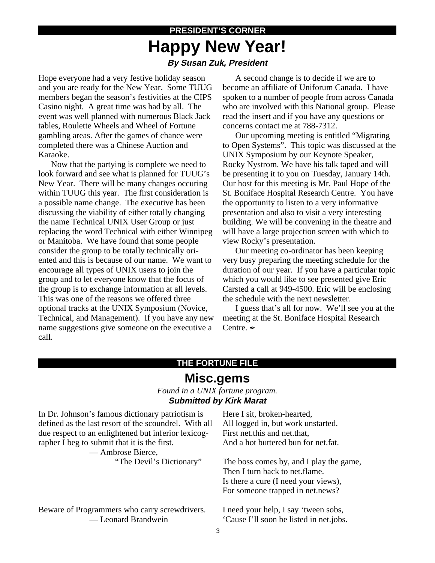# **PRESIDENT'S CORNER Happy New Year! By Susan Zuk, President**

Hope everyone had a very festive holiday season and you are ready for the New Year. Some TUUG members began the season's festivities at the CIPS Casino night. A great time was had by all. The event was well planned with numerous Black Jack tables, Roulette Wheels and Wheel of Fortune gambling areas. After the games of chance were completed there was a Chinese Auction and Karaoke.

Now that the partying is complete we need to look forward and see what is planned for TUUG's New Year. There will be many changes occuring within TUUG this year. The first consideration is a possible name change. The executive has been discussing the viability of either totally changing the name Technical UNIX User Group or just replacing the word Technical with either Winnipeg or Manitoba. We have found that some people consider the group to be totally technically oriented and this is because of our name. We want to encourage all types of UNIX users to join the group and to let everyone know that the focus of the group is to exchange information at all levels. This was one of the reasons we offered three optional tracks at the UNIX Symposium (Novice, Technical, and Management). If you have any new name suggestions give someone on the executive a call.

A second change is to decide if we are to become an affiliate of Uniforum Canada. I have spoken to a number of people from across Canada who are involved with this National group. Please read the insert and if you have any questions or concerns contact me at 788-7312.

Our upcoming meeting is entitled "Migrating to Open Systems". This topic was discussed at the UNIX Symposium by our Keynote Speaker, Rocky Nystrom. We have his talk taped and will be presenting it to you on Tuesday, January 14th. Our host for this meeting is Mr. Paul Hope of the St. Boniface Hospital Research Centre. You have the opportunity to listen to a very informative presentation and also to visit a very interesting building. We will be convening in the theatre and will have a large projection screen with which to view Rocky's presentation.

Our meeting co-ordinator has been keeping very busy preparing the meeting schedule for the duration of our year. If you have a particular topic which you would like to see presented give Eric Carsted a call at 949-4500. Eric will be enclosing the schedule with the next newsletter.

I guess that's all for now. We'll see you at the meeting at the St. Boniface Hospital Research Centre.

## **THE FORTUNE FILE**

## **Misc.gems**

## *Found in a UNIX fortune program.* **Submitted by Kirk Marat**

| In Dr. Johnson's famous dictionary patriotism is      | Here I sit, broken-hearted,             |  |
|-------------------------------------------------------|-----------------------------------------|--|
| defined as the last resort of the scoundrel. With all | All logged in, but work unstarted.      |  |
| due respect to an enlightened but inferior lexicog-   | First net this and net that,            |  |
| rapher I beg to submit that it is the first.          | And a hot buttered bun for net. fat.    |  |
| — Ambrose Bierce,                                     |                                         |  |
| "The Devil's Dictionary"                              | The boss comes by, and I play the game, |  |
|                                                       | Then I turn back to net.flame.          |  |
|                                                       | Is there a cure (I need your views),    |  |
|                                                       | For someone trapped in net.news?        |  |
| Beware of Programmers who carry screwdrivers.         | I need your help, I say 'tween sobs,    |  |
| - Leonard Brandwein                                   | 'Cause I'll soon be listed in net.jobs. |  |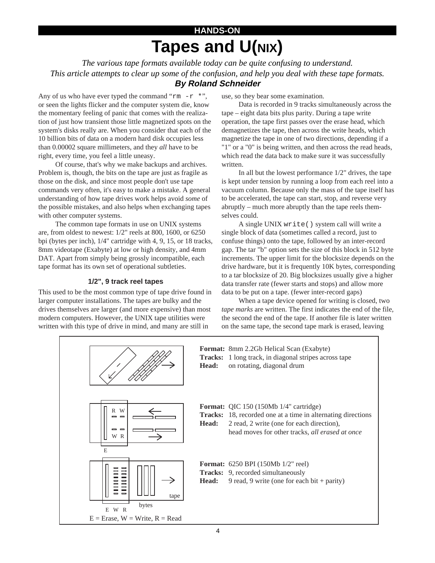# **HANDS-ON Tapes and U(NIX)**

*The various tape formats available today can be quite confusing to understand. This article attempts to clear up some of the confusion, and help you deal with these tape formats.* **By Roland Schneider**

Any of us who have ever typed the command "rm  $-r \cdot r$ ", or seen the lights flicker and the computer system die, know the momentary feeling of panic that comes with the realization of just how transient those little magnetized spots on the system's disks really are. When you consider that each of the 10 billion bits of data on a modern hard disk occupies less than 0.00002 square millimeters, and they *all* have to be right, every time, you feel a little uneasy.

Of course, that's why we make backups and archives. Problem is, though, the bits on the tape are just as fragile as those on the disk, and since most people don't use tape commands very often, it's easy to make a mistake. A general understanding of how tape drives work helps avoid *some* of the possible mistakes, and also helps when exchanging tapes with other computer systems.

The common tape formats in use on UNIX systems are, from oldest to newest: 1/2" reels at 800, 1600, or 6250 bpi (bytes per inch), 1/4" cartridge with 4, 9, 15, or 18 tracks, 8mm videotape (Exabyte) at low or high density, and 4mm DAT. Apart from simply being grossly incompatible, each tape format has its own set of operational subtleties.

#### **1/2", 9 track reel tapes**

This used to be the most common type of tape drive found in larger computer installations. The tapes are bulky and the drives themselves are larger (and more expensive) than most modern computers. However, the UNIX tape utilities were written with this type of drive in mind, and many are still in

use, so they bear some examination.

Data is recorded in 9 tracks simultaneously across the tape – eight data bits plus parity. During a tape write operation, the tape first passes over the erase head, which demagnetizes the tape, then across the write heads, which magnetize the tape in one of two directions, depending if a "1" or a "0" is being written, and then across the read heads, which read the data back to make sure it was successfully written.

In all but the lowest performance 1/2" drives, the tape is kept under tension by running a loop from each reel into a vacuum column. Because only the mass of the tape itself has to be accelerated, the tape can start, stop, and reverse very abruptly – much more abruptly than the tape reels themselves could.

A single UNIX write() system call will write a single block of data (sometimes called a record, just to confuse things) onto the tape, followed by an inter-record gap. The tar "b" option sets the size of this block in 512 byte increments. The upper limit for the blocksize depends on the drive hardware, but it is frequently 10K bytes, corresponding to a tar blocksize of 20. Big blocksizes usually give a higher data transfer rate (fewer starts and stops) and allow more data to be put on a tape. (fewer inter-record gaps)

When a tape device opened for writing is closed, two *tape marks* are written. The first indicates the end of the file, the second the end of the tape. If another file is later written on the same tape, the second tape mark is erased, leaving

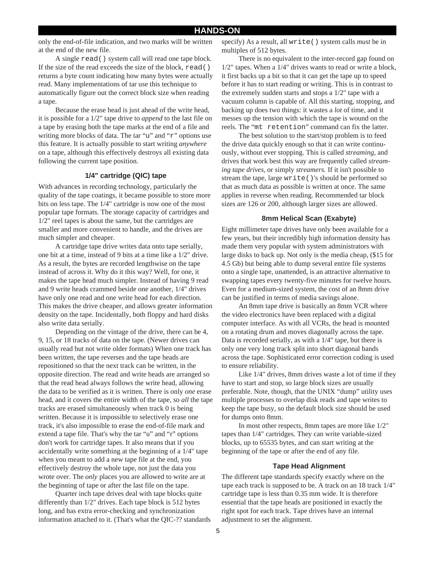only the end-of-file indication, and two marks will be written at the end of the new file.

A single read() system call will read one tape block. If the size of the read exceeds the size of the block,  $\text{read}( )$ returns a byte count indicating how many bytes were actually read. Many implementations of tar use this technique to automatically figure out the correct block size when reading a tape.

Because the erase head is just ahead of the write head, it is possible for a 1/2" tape drive to *append* to the last file on a tape by erasing both the tape marks at the end of a file and writing more blocks of data. The tar "u" and "r" options use this feature. It is actually possible to start writing *anywhere* on a tape, although this effectively destroys all existing data following the current tape position.

#### **1/4" cartridge (QIC) tape**

With advances in recording technology, particularly the quality of the tape coatings, it became possible to store more bits on less tape. The 1/4" cartridge is now one of the most popular tape formats. The storage capacity of cartridges and 1/2" reel tapes is about the same, but the cartridges are smaller and more convenient to handle, and the drives are much simpler and cheaper.

A cartridge tape drive writes data onto tape serially, one bit at a time, instead of 9 bits at a time like a 1/2" drive. As a result, the bytes are recorded lengthwise on the tape instead of across it. Why do it this way? Well, for one, it makes the tape head much simpler. Instead of having 9 read and 9 write heads crammed beside one another, 1/4" drives have only one read and one write head for each direction. This makes the drive cheaper, and allows greater information density on the tape. Incidentally, both floppy and hard disks also write data serially.

Depending on the vintage of the drive, there can be 4, 9, 15, or 18 tracks of data on the tape. (Newer drives can usually read but not write older formats) When one track has been written, the tape reverses and the tape heads are repositioned so that the next track can be written, in the opposite direction. The read and write heads are arranged so that the read head always follows the write head, allowing the data to be verified as it is written. There is only *one* erase head, and it covers the entire width of the tape, so *all* the tape tracks are erased simultaneously when track 0 is being written. Because it is impossible to selectively erase one track, it's also impossible to erase the end-of-file mark and extend a tape file. That's why the tar "u" and "r" options don't work for cartridge tapes. It also means that if you accidentally write something at the beginning of a 1/4" tape when you meant to add a new tape file at the end, you effectively destroy the whole tape, not just the data you wrote over. The *only* places you are allowed to write are at the beginning of tape or after the last file on the tape.

Quarter inch tape drives deal with tape blocks quite differently than 1/2" drives. Each tape block is 512 bytes long, and has extra error-checking and synchronization information attached to it. (That's what the QIC-?? standards specify) As a result, all write() system calls *must* be in multiples of 512 bytes.

There is no equivalent to the inter-record gap found on 1/2" tapes. When a 1/4" drives wants to read or write a block, it first backs up a bit so that it can get the tape up to speed before it has to start reading or writing. This is in contrast to the extremely sudden starts and stops a 1/2" tape with a vacuum column is capable of. All this starting, stopping, and backing up does two things: it wastes a *lot* of time, and it messes up the tension with which the tape is wound on the reels. The "mt retention" command can fix the latter.

The best solution to the start/stop problem is to feed the drive data quickly enough so that it can write continuously, without ever stopping. This is called *streaming,* and drives that work best this way are frequently called *streaming tape drives,* or simply *streamers.* If it isn't possible to stream the tape, large write()'s should be performed so that as much data as possible is written at once. The same applies in reverse when reading. Recommended tar block sizes are 126 or 200, although larger sizes are allowed.

#### **8mm Helical Scan (Exabyte)**

Eight millimeter tape drives have only been available for a few years, but their incredibly high information density has made them very popular with system administrators with large disks to back up. Not only is the media cheap, (\$15 for 4.5 Gb) but being able to dump several entire file systems onto a single tape, unattended, is an attractive alternative to swapping tapes every twenty-five minutes for twelve hours. Even for a medium-sized system, the cost of an 8mm drive can be justified in terms of media savings alone.

An 8mm tape drive is basically an 8mm VCR where the video electronics have been replaced with a digital computer interface. As with all VCRs, the head is mounted on a rotating drum and moves diagonally across the tape. Data is recorded serially, as with a 1/4" tape, but there is only one very long track split into short diagonal bands across the tape. Sophisticated error correction coding is used to ensure reliability.

Like 1/4" drives, 8mm drives waste a lot of time if they have to start and stop, so large block sizes are usually preferable. Note, though, that the UNIX "dump" utility uses multiple processes to overlap disk reads and tape writes to keep the tape busy, so the default block size should be used for dumps onto 8mm.

In most other respects, 8mm tapes are more like 1/2" tapes than 1/4" cartridges. They can write variable-sized blocks, up to 65535 bytes, and can start writing at the beginning of the tape or after the end of any file.

#### **Tape Head Alignment**

The different tape standards specify exactly where on the tape each track is supposed to be. A track on an 18 track 1/4" cartridge tape is less than 0.35 mm wide. It is therefore essential that the tape heads are positioned in exactly the right spot for each track. Tape drives have an internal adjustment to set the alignment.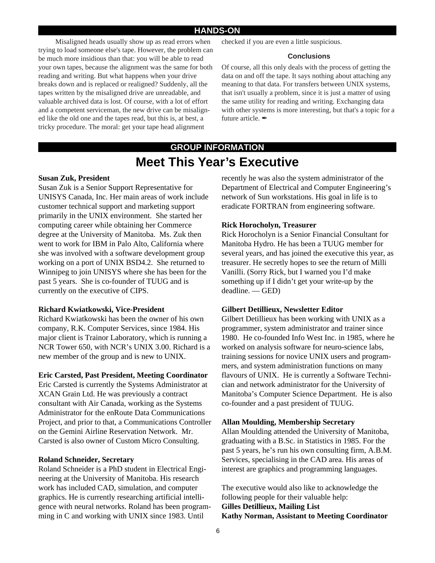## **HANDS-ON**

Misaligned heads usually show up as read errors when trying to load someone else's tape. However, the problem can be much more insidious than that: you will be able to read your own tapes, because the alignment was the same for both reading and writing. But what happens when your drive breaks down and is replaced or realigned? Suddenly, all the tapes written by the misaligned drive are unreadable, and valuable archived data is lost. Of course, with a lot of effort and a competent serviceman, the new drive can be misaligned like the old one and the tapes read, but this is, at best, a tricky procedure. The moral: get your tape head alignment

checked if you are even a little suspicious.

#### **Conclusions**

Of course, all this only deals with the process of getting the data on and off the tape. It says nothing about attaching any meaning to that data. For transfers between UNIX systems, that isn't usually a problem, since it is just a matter of using the same utility for reading and writing. Exchanging data with other systems is more interesting, but that's a topic for a future article.

# **Meet This Year's Executive GROUP INFORMATION**

#### **Susan Zuk, President**

Susan Zuk is a Senior Support Representative for UNISYS Canada, Inc. Her main areas of work include customer technical support and marketing support primarily in the UNIX environment. She started her computing career while obtaining her Commerce degree at the University of Manitoba. Ms. Zuk then went to work for IBM in Palo Alto, California where she was involved with a software development group working on a port of UNIX BSD4.2. She returned to Winnipeg to join UNISYS where she has been for the past 5 years. She is co-founder of TUUG and is currently on the executive of CIPS.

#### **Richard Kwiatkowski, Vice-President**

Richard Kwiatkowski has been the owner of his own company, R.K. Computer Services, since 1984. His major client is Trainor Laboratory, which is running a NCR Tower 650, with NCR's UNIX 3.00. Richard is a new member of the group and is new to UNIX.

#### **Eric Carsted, Past President, Meeting Coordinator**

Eric Carsted is currently the Systems Administrator at XCAN Grain Ltd. He was previously a contract consultant with Air Canada, working as the Systems Administrator for the enRoute Data Communications Project, and prior to that, a Communications Controller on the Gemini Airline Reservation Network. Mr. Carsted is also owner of Custom Micro Consulting.

#### **Roland Schneider, Secretary**

Roland Schneider is a PhD student in Electrical Engineering at the University of Manitoba. His research work has included CAD, simulation, and computer graphics. He is currently researching artificial intelligence with neural networks. Roland has been programming in C and working with UNIX since 1983. Until

recently he was also the system administrator of the Department of Electrical and Computer Engineering's network of Sun workstations. His goal in life is to eradicate FORTRAN from engineering software.

#### **Rick Horocholyn, Treasurer**

Rick Horocholyn is a Senior Financial Consultant for Manitoba Hydro. He has been a TUUG member for several years, and has joined the executive this year, as treasurer. He secretly hopes to see the return of Milli Vanilli. (Sorry Rick, but I warned you I'd make something up if I didn't get your write-up by the deadline. — GED)

#### **Gilbert Detillieux, Newsletter Editor**

Gilbert Detillieux has been working with UNIX as a programmer, system administrator and trainer since 1980. He co-founded Info West Inc. in 1985, where he worked on analysis software for neuro-science labs, training sessions for novice UNIX users and programmers, and system administration functions on many flavours of UNIX. He is currently a Software Technician and network administrator for the University of Manitoba's Computer Science Department. He is also co-founder and a past president of TUUG.

#### **Allan Moulding, Membership Secretary**

Allan Moulding attended the University of Manitoba, graduating with a B.Sc. in Statistics in 1985. For the past 5 years, he's run his own consulting firm, A.B.M. Services, specialising in the CAD area. His areas of interest are graphics and programming languages.

The executive would also like to acknowledge the following people for their valuable help: **Gilles Detillieux, Mailing List Kathy Norman, Assistant to Meeting Coordinator**